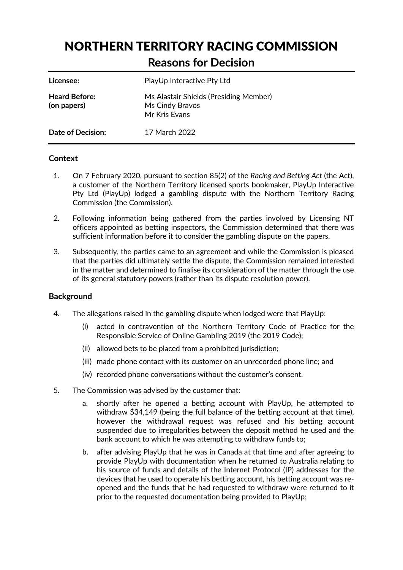# NORTHERN TERRITORY RACING COMMISSION

# **Reasons for Decision**

| Licensee:                           | PlayUp Interactive Pty Ltd                                                 |
|-------------------------------------|----------------------------------------------------------------------------|
| <b>Heard Before:</b><br>(on papers) | Ms Alastair Shields (Presiding Member)<br>Ms Cindy Bravos<br>Mr Kris Evans |
| Date of Decision:                   | 17 March 2022                                                              |

# **Context**

- 1. On 7 February 2020, pursuant to section 85(2) of the *Racing and Betting Act* (the Act), a customer of the Northern Territory licensed sports bookmaker, PlayUp Interactive Pty Ltd (PlayUp) lodged a gambling dispute with the Northern Territory Racing Commission (the Commission).
- 2. Following information being gathered from the parties involved by Licensing NT officers appointed as betting inspectors, the Commission determined that there was sufficient information before it to consider the gambling dispute on the papers.
- 3. Subsequently, the parties came to an agreement and while the Commission is pleased that the parties did ultimately settle the dispute, the Commission remained interested in the matter and determined to finalise its consideration of the matter through the use of its general statutory powers (rather than its dispute resolution power).

# **Background**

- 4. The allegations raised in the gambling dispute when lodged were that PlayUp:
	- (i) acted in contravention of the Northern Territory Code of Practice for the Responsible Service of Online Gambling 2019 (the 2019 Code);
	- (ii) allowed bets to be placed from a prohibited jurisdiction;
	- (iii) made phone contact with its customer on an unrecorded phone line; and
	- (iv) recorded phone conversations without the customer's consent.
- 5. The Commission was advised by the customer that:
	- a. shortly after he opened a betting account with PlayUp, he attempted to withdraw \$34,149 (being the full balance of the betting account at that time), however the withdrawal request was refused and his betting account suspended due to irregularities between the deposit method he used and the bank account to which he was attempting to withdraw funds to;
	- b. after advising PlayUp that he was in Canada at that time and after agreeing to provide PlayUp with documentation when he returned to Australia relating to his source of funds and details of the Internet Protocol (IP) addresses for the devices that he used to operate his betting account, his betting account was reopened and the funds that he had requested to withdraw were returned to it prior to the requested documentation being provided to PlayUp;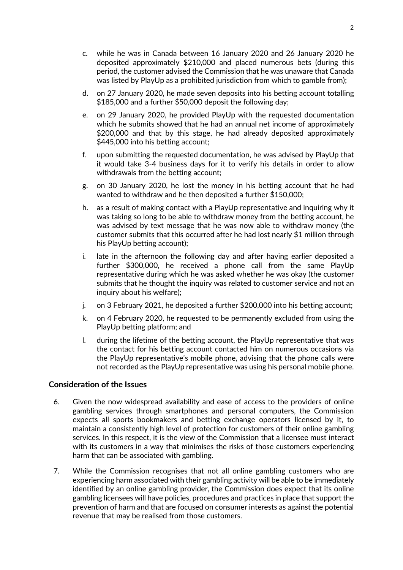- c. while he was in Canada between 16 January 2020 and 26 January 2020 he deposited approximately \$210,000 and placed numerous bets (during this period, the customer advised the Commission that he was unaware that Canada was listed by PlayUp as a prohibited jurisdiction from which to gamble from);
- d. on 27 January 2020, he made seven deposits into his betting account totalling \$185,000 and a further \$50,000 deposit the following day;
- e. on 29 January 2020, he provided PlayUp with the requested documentation which he submits showed that he had an annual net income of approximately \$200,000 and that by this stage, he had already deposited approximately \$445,000 into his betting account;
- f. upon submitting the requested documentation, he was advised by PlayUp that it would take 3-4 business days for it to verify his details in order to allow withdrawals from the betting account;
- g. on 30 January 2020, he lost the money in his betting account that he had wanted to withdraw and he then deposited a further \$150,000;
- h. as a result of making contact with a PlayUp representative and inquiring why it was taking so long to be able to withdraw money from the betting account, he was advised by text message that he was now able to withdraw money (the customer submits that this occurred after he had lost nearly \$1 million through his PlayUp betting account);
- i. late in the afternoon the following day and after having earlier deposited a further \$300,000, he received a phone call from the same PlayUp representative during which he was asked whether he was okay (the customer submits that he thought the inquiry was related to customer service and not an inquiry about his welfare);
- j. on 3 February 2021, he deposited a further \$200,000 into his betting account;
- k. on 4 February 2020, he requested to be permanently excluded from using the PlayUp betting platform; and
- l. during the lifetime of the betting account, the PlayUp representative that was the contact for his betting account contacted him on numerous occasions via the PlayUp representative's mobile phone, advising that the phone calls were not recorded as the PlayUp representative was using his personal mobile phone.

## **Consideration of the Issues**

- 6. Given the now widespread availability and ease of access to the providers of online gambling services through smartphones and personal computers, the Commission expects all sports bookmakers and betting exchange operators licensed by it, to maintain a consistently high level of protection for customers of their online gambling services. In this respect, it is the view of the Commission that a licensee must interact with its customers in a way that minimises the risks of those customers experiencing harm that can be associated with gambling.
- 7. While the Commission recognises that not all online gambling customers who are experiencing harm associated with their gambling activity will be able to be immediately identified by an online gambling provider, the Commission does expect that its online gambling licensees will have policies, procedures and practices in place that support the prevention of harm and that are focused on consumer interests as against the potential revenue that may be realised from those customers.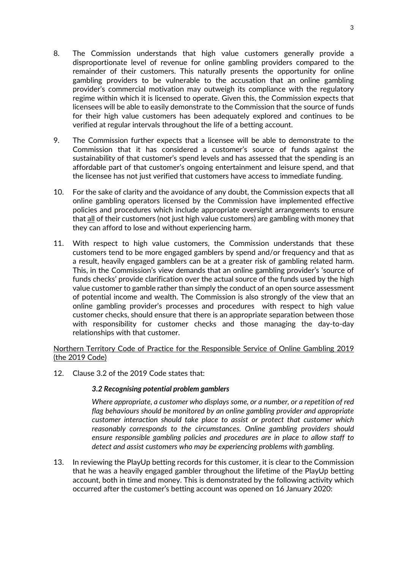- 8. The Commission understands that high value customers generally provide a disproportionate level of revenue for online gambling providers compared to the remainder of their customers. This naturally presents the opportunity for online gambling providers to be vulnerable to the accusation that an online gambling provider's commercial motivation may outweigh its compliance with the regulatory regime within which it is licensed to operate. Given this, the Commission expects that licensees will be able to easily demonstrate to the Commission that the source of funds for their high value customers has been adequately explored and continues to be verified at regular intervals throughout the life of a betting account.
- 9. The Commission further expects that a licensee will be able to demonstrate to the Commission that it has considered a customer's source of funds against the sustainability of that customer's spend levels and has assessed that the spending is an affordable part of that customer's ongoing entertainment and leisure spend, and that the licensee has not just verified that customers have access to immediate funding.
- 10. For the sake of clarity and the avoidance of any doubt, the Commission expects that all online gambling operators licensed by the Commission have implemented effective policies and procedures which include appropriate oversight arrangements to ensure that all of their customers (not just high value customers) are gambling with money that they can afford to lose and without experiencing harm.
- 11. With respect to high value customers, the Commission understands that these customers tend to be more engaged gamblers by spend and/or frequency and that as a result, heavily engaged gamblers can be at a greater risk of gambling related harm. This, in the Commission's view demands that an online gambling provider's 'source of funds checks' provide clarification over the actual source of the funds used by the high value customer to gamble rather than simply the conduct of an open source assessment of potential income and wealth. The Commission is also strongly of the view that an online gambling provider's processes and procedures with respect to high value customer checks, should ensure that there is an appropriate separation between those with responsibility for customer checks and those managing the day-to-day relationships with that customer.

## Northern Territory Code of Practice for the Responsible Service of Online Gambling 2019 (the 2019 Code)

12. Clause 3.2 of the 2019 Code states that:

# *3.2 Recognising potential problem gamblers*

*Where appropriate, a customer who displays some, or a number, or a repetition of red flag behaviours should be monitored by an online gambling provider and appropriate customer interaction should take place to assist or protect that customer which reasonably corresponds to the circumstances. Online gambling providers should ensure responsible gambling policies and procedures are in place to allow staff to detect and assist customers who may be experiencing problems with gambling.* 

13. In reviewing the PlayUp betting records for this customer, it is clear to the Commission that he was a heavily engaged gambler throughout the lifetime of the PlayUp betting account, both in time and money. This is demonstrated by the following activity which occurred after the customer's betting account was opened on 16 January 2020: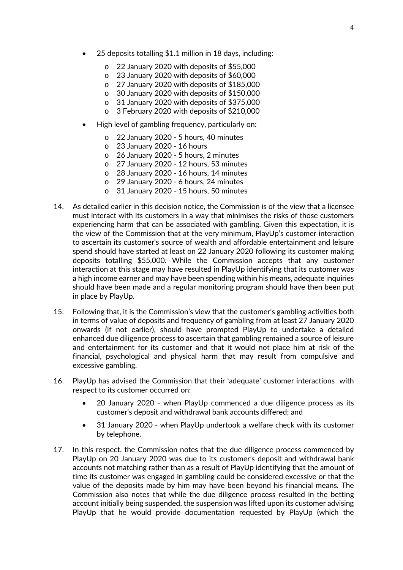- 25 deposits totalling \$1.1 million in 18 days, including:
	- o 22 January 2020 with deposits of \$55,000
	- o 23 January 2020 with deposits of \$60,000
	- o 27 January 2020 with deposits of \$185,000
	- o 30 January 2020 with deposits of \$150,000
	- o 31 January 2020 with deposits of \$375,000
	- o 3 February 2020 with deposits of \$210,000
- High level of gambling frequency, particularly on:
	- o 22 January 2020 5 hours, 40 minutes
	- o 23 January 2020 16 hours
	- o 26 January 2020 5 hours, 2 minutes
	- o 27 January 2020 12 hours, 53 minutes
	- o 28 January 2020 16 hours, 14 minutes
	- o 29 January 2020 6 hours, 24 minutes
	- o 31 January 2020 15 hours, 50 minutes
- 14. As detailed earlier in this decision notice, the Commission is of the view that a licensee must interact with its customers in a way that minimises the risks of those customers experiencing harm that can be associated with gambling. Given this expectation, it is the view of the Commission that at the very minimum, PlayUp's customer interaction to ascertain its customer's source of wealth and affordable entertainment and leisure spend should have started at least on 22 January 2020 following its customer making deposits totalling \$55,000. While the Commission accepts that any customer interaction at this stage may have resulted in PlayUp identifying that its customer was a high income earner and may have been spending within his means, adequate inquiries should have been made and a regular monitoring program should have then been put in place by PlayUp.
- 15. Following that, it is the Commission's view that the customer's gambling activities both in terms of value of deposits and frequency of gambling from at least 27 January 2020 onwards (if not earlier), should have prompted PlayUp to undertake a detailed enhanced due diligence process to ascertain that gambling remained a source of leisure and entertainment for its customer and that it would not place him at risk of the financial, psychological and physical harm that may result from compulsive and excessive gambling.
- 16. PlayUp has advised the Commission that their 'adequate' customer interactions with respect to its customer occurred on:
	- 20 January 2020 when PlayUp commenced a due diligence process as its customer's deposit and withdrawal bank accounts differed; and
	- 31 January 2020 when PlayUp undertook a welfare check with its customer by telephone.
- 17. In this respect, the Commission notes that the due diligence process commenced by PlayUp on 20 January 2020 was due to its customer's deposit and withdrawal bank accounts not matching rather than as a result of PlayUp identifying that the amount of time its customer was engaged in gambling could be considered excessive or that the value of the deposits made by him may have been beyond his financial means. The Commission also notes that while the due diligence process resulted in the betting account initially being suspended, the suspension was lifted upon its customer advising PlayUp that he would provide documentation requested by PlayUp (which the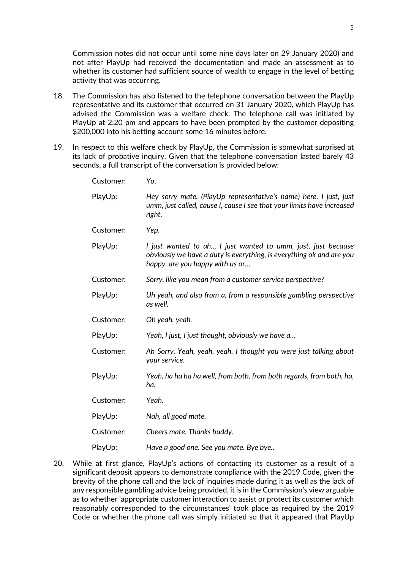Commission notes did not occur until some nine days later on 29 January 2020) and not after PlayUp had received the documentation and made an assessment as to whether its customer had sufficient source of wealth to engage in the level of betting activity that was occurring.

- 18. The Commission has also listened to the telephone conversation between the PlayUp representative and its customer that occurred on 31 January 2020, which PlayUp has advised the Commission was a welfare check. The telephone call was initiated by PlayUp at 2:20 pm and appears to have been prompted by the customer depositing \$200,000 into his betting account some 16 minutes before.
- 19. In respect to this welfare check by PlayUp, the Commission is somewhat surprised at its lack of probative inquiry. Given that the telephone conversation lasted barely 43 seconds, a full transcript of the conversation is provided below:

| Customer: | Yo.                                                                                                                                                                      |
|-----------|--------------------------------------------------------------------------------------------------------------------------------------------------------------------------|
| PlayUp:   | Hey sorry mate. (PlayUp representative's name) here. I just, just<br>umm, just called, cause I, cause I see that your limits have increased<br>right.                    |
| Customer: | Yep.                                                                                                                                                                     |
| PlayUp:   | I just wanted to ah, I just wanted to umm, just, just because<br>obviously we have a duty is everything, is everything ok and are you<br>happy, are you happy with us or |
| Customer: | Sorry, like you mean from a customer service perspective?                                                                                                                |
| PlayUp:   | Uh yeah, and also from a, from a responsible gambling perspective<br>as well.                                                                                            |
| Customer: | Oh yeah, yeah.                                                                                                                                                           |
| PlayUp:   | Yeah, I just, I just thought, obviously we have a                                                                                                                        |
| Customer: | Ah Sorry, Yeah, yeah, yeah. I thought you were just talking about<br>your service.                                                                                       |
| PlayUp:   | Yeah, ha ha ha ha well, from both, from both regards, from both, ha,<br>ha.                                                                                              |
| Customer: | Yeah.                                                                                                                                                                    |
| PlayUp:   | Nah, all good mate.                                                                                                                                                      |
| Customer: | Cheers mate. Thanks buddy.                                                                                                                                               |
| PlayUp:   | Have a good one. See you mate. Bye bye                                                                                                                                   |

20. While at first glance, PlayUp's actions of contacting its customer as a result of a significant deposit appears to demonstrate compliance with the 2019 Code, given the brevity of the phone call and the lack of inquiries made during it as well as the lack of any responsible gambling advice being provided, it is in the Commission's view arguable as to whether 'appropriate customer interaction to assist or protect its customer which reasonably corresponded to the circumstances' took place as required by the 2019 Code or whether the phone call was simply initiated so that it appeared that PlayUp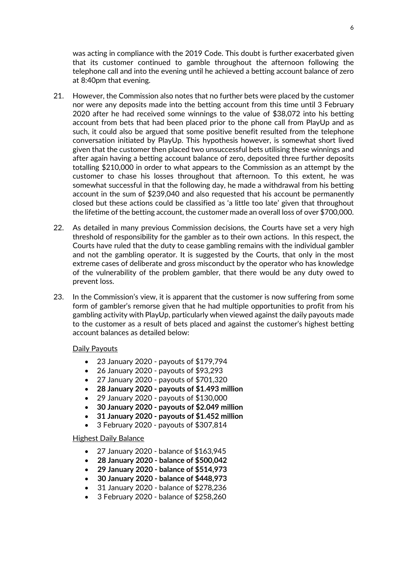was acting in compliance with the 2019 Code. This doubt is further exacerbated given that its customer continued to gamble throughout the afternoon following the telephone call and into the evening until he achieved a betting account balance of zero at 8:40pm that evening.

- 21. However, the Commission also notes that no further bets were placed by the customer nor were any deposits made into the betting account from this time until 3 February 2020 after he had received some winnings to the value of \$38,072 into his betting account from bets that had been placed prior to the phone call from PlayUp and as such, it could also be argued that some positive benefit resulted from the telephone conversation initiated by PlayUp. This hypothesis however, is somewhat short lived given that the customer then placed two unsuccessful bets utilising these winnings and after again having a betting account balance of zero, deposited three further deposits totalling \$210,000 in order to what appears to the Commission as an attempt by the customer to chase his losses throughout that afternoon. To this extent, he was somewhat successful in that the following day, he made a withdrawal from his betting account in the sum of \$239,040 and also requested that his account be permanently closed but these actions could be classified as 'a little too late' given that throughout the lifetime of the betting account, the customer made an overall loss of over \$700,000.
- 22. As detailed in many previous Commission decisions, the Courts have set a very high threshold of responsibility for the gambler as to their own actions. In this respect, the Courts have ruled that the duty to cease gambling remains with the individual gambler and not the gambling operator. It is suggested by the Courts, that only in the most extreme cases of deliberate and gross misconduct by the operator who has knowledge of the vulnerability of the problem gambler, that there would be any duty owed to prevent loss.
- 23. In the Commission's view, it is apparent that the customer is now suffering from some form of gambler's remorse given that he had multiple opportunities to profit from his gambling activity with PlayUp, particularly when viewed against the daily payouts made to the customer as a result of bets placed and against the customer's highest betting account balances as detailed below:

#### Daily Payouts

- 23 January 2020 payouts of \$179,794
- 26 January 2020 payouts of \$93,293
- 27 January 2020 payouts of \$701,320
- **28 January 2020 payouts of \$1.493 million**
- 29 January 2020 payouts of \$130,000
- **30 January 2020 payouts of \$2.049 million**
- **31 January 2020 payouts of \$1.452 million**
- 3 February 2020 payouts of \$307,814

#### Highest Daily Balance

- 27 January 2020 balance of \$163,945
- **28 January 2020 balance of \$500,042**
- **29 January 2020 balance of \$514,973**
- **30 January 2020 balance of \$448,973**
- 31 January 2020 balance of \$278,236
- 3 February 2020 balance of \$258,260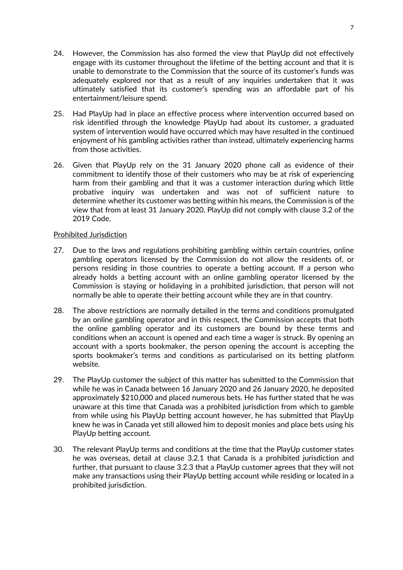- 24. However, the Commission has also formed the view that PlayUp did not effectively engage with its customer throughout the lifetime of the betting account and that it is unable to demonstrate to the Commission that the source of its customer's funds was adequately explored nor that as a result of any inquiries undertaken that it was ultimately satisfied that its customer's spending was an affordable part of his entertainment/leisure spend.
- 25. Had PlayUp had in place an effective process where intervention occurred based on risk identified through the knowledge PlayUp had about its customer, a graduated system of intervention would have occurred which may have resulted in the continued enjoyment of his gambling activities rather than instead, ultimately experiencing harms from those activities.
- 26. Given that PlayUp rely on the 31 January 2020 phone call as evidence of their commitment to identify those of their customers who may be at risk of experiencing harm from their gambling and that it was a customer interaction during which little probative inquiry was undertaken and was not of sufficient nature to determine whether its customer was betting within his means, the Commission is of the view that from at least 31 January 2020, PlayUp did not comply with clause 3.2 of the 2019 Code.

#### Prohibited Jurisdiction

- 27. Due to the laws and regulations prohibiting gambling within certain countries, online gambling operators licensed by the Commission do not allow the residents of, or persons residing in those countries to operate a betting account. If a person who already holds a betting account with an online gambling operator licensed by the Commission is staying or holidaying in a prohibited jurisdiction, that person will not normally be able to operate their betting account while they are in that country.
- 28. The above restrictions are normally detailed in the terms and conditions promulgated by an online gambling operator and in this respect, the Commission accepts that both the online gambling operator and its customers are bound by these terms and conditions when an account is opened and each time a wager is struck. By opening an account with a sports bookmaker, the person opening the account is accepting the sports bookmaker's terms and conditions as particularised on its betting platform website.
- 29. The PlayUp customer the subject of this matter has submitted to the Commission that while he was in Canada between 16 January 2020 and 26 January 2020, he deposited approximately \$210,000 and placed numerous bets. He has further stated that he was unaware at this time that Canada was a prohibited jurisdiction from which to gamble from while using his PlayUp betting account however, he has submitted that PlayUp knew he was in Canada yet still allowed him to deposit monies and place bets using his PlayUp betting account.
- 30. The relevant PlayUp terms and conditions at the time that the PlayUp customer states he was overseas, detail at clause 3.2.1 that Canada is a prohibited jurisdiction and further, that pursuant to clause 3.2.3 that a PlayUp customer agrees that they will not make any transactions using their PlayUp betting account while residing or located in a prohibited jurisdiction.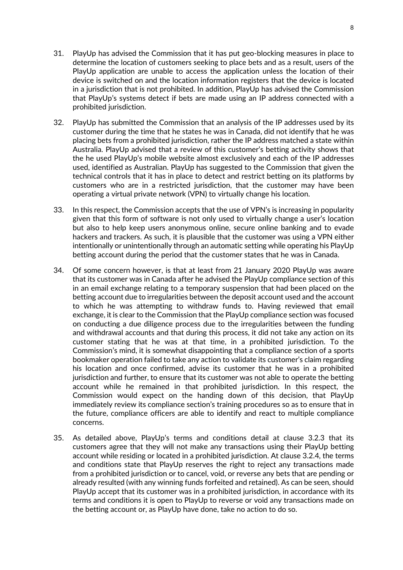- 31. PlayUp has advised the Commission that it has put geo-blocking measures in place to determine the location of customers seeking to place bets and as a result, users of the PlayUp application are unable to access the application unless the location of their device is switched on and the location information registers that the device is located in a jurisdiction that is not prohibited. In addition, PlayUp has advised the Commission that PlayUp's systems detect if bets are made using an IP address connected with a prohibited jurisdiction.
- 32. PlayUp has submitted the Commission that an analysis of the IP addresses used by its customer during the time that he states he was in Canada, did not identify that he was placing bets from a prohibited jurisdiction, rather the IP address matched a state within Australia. PlayUp advised that a review of this customer's betting activity shows that the he used PlayUp's mobile website almost exclusively and each of the IP addresses used, identified as Australian. PlayUp has suggested to the Commission that given the technical controls that it has in place to detect and restrict betting on its platforms by customers who are in a restricted jurisdiction, that the customer may have been operating a virtual private network (VPN) to virtually change his location.
- 33. In this respect, the Commission accepts that the use of VPN's is increasing in popularity given that this form of software is not only used to virtually change a user's location but also to help keep users anonymous online, secure online banking and to evade hackers and trackers. As such, it is plausible that the customer was using a VPN either intentionally or unintentionally through an automatic setting while operating his PlayUp betting account during the period that the customer states that he was in Canada.
- 34. Of some concern however, is that at least from 21 January 2020 PlayUp was aware that its customer was in Canada after he advised the PlayUp compliance section of this in an email exchange relating to a temporary suspension that had been placed on the betting account due to irregularities between the deposit account used and the account to which he was attempting to withdraw funds to. Having reviewed that email exchange, it is clear to the Commission that the PlayUp compliance section was focused on conducting a due diligence process due to the irregularities between the funding and withdrawal accounts and that during this process, it did not take any action on its customer stating that he was at that time, in a prohibited jurisdiction. To the Commission's mind, it is somewhat disappointing that a compliance section of a sports bookmaker operation failed to take any action to validate its customer's claim regarding his location and once confirmed, advise its customer that he was in a prohibited jurisdiction and further, to ensure that its customer was not able to operate the betting account while he remained in that prohibited jurisdiction. In this respect, the Commission would expect on the handing down of this decision, that PlayUp immediately review its compliance section's training procedures so as to ensure that in the future, compliance officers are able to identify and react to multiple compliance concerns.
- 35. As detailed above, PlayUp's terms and conditions detail at clause 3.2.3 that its customers agree that they will not make any transactions using their PlayUp betting account while residing or located in a prohibited jurisdiction. At clause 3.2.4, the terms and conditions state that PlayUp reserves the right to reject any transactions made from a prohibited jurisdiction or to cancel, void, or reverse any bets that are pending or already resulted (with any winning funds forfeited and retained). As can be seen, should PlayUp accept that its customer was in a prohibited jurisdiction, in accordance with its terms and conditions it is open to PlayUp to reverse or void any transactions made on the betting account or, as PlayUp have done, take no action to do so.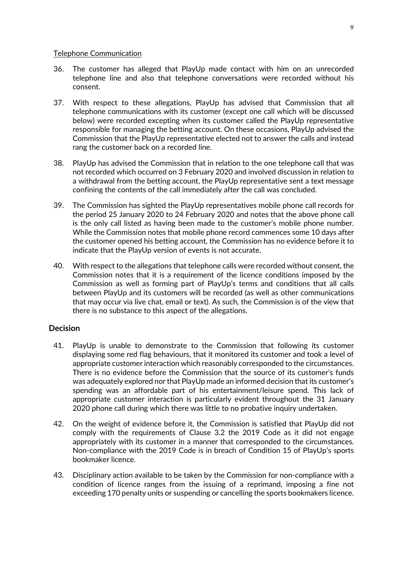#### Telephone Communication

- 36. The customer has alleged that PlayUp made contact with him on an unrecorded telephone line and also that telephone conversations were recorded without his consent.
- 37. With respect to these allegations, PlayUp has advised that Commission that all telephone communications with its customer (except one call which will be discussed below) were recorded excepting when its customer called the PlayUp representative responsible for managing the betting account. On these occasions, PlayUp advised the Commission that the PlayUp representative elected not to answer the calls and instead rang the customer back on a recorded line.
- 38. PlayUp has advised the Commission that in relation to the one telephone call that was not recorded which occurred on 3 February 2020 and involved discussion in relation to a withdrawal from the betting account, the PlayUp representative sent a text message confining the contents of the call immediately after the call was concluded.
- 39. The Commission has sighted the PlayUp representatives mobile phone call records for the period 25 January 2020 to 24 February 2020 and notes that the above phone call is the only call listed as having been made to the customer's mobile phone number. While the Commission notes that mobile phone record commences some 10 days after the customer opened his betting account, the Commission has no evidence before it to indicate that the PlayUp version of events is not accurate.
- 40. With respect to the allegations that telephone calls were recorded without consent, the Commission notes that it is a requirement of the licence conditions imposed by the Commission as well as forming part of PlayUp's terms and conditions that all calls between PlayUp and its customers will be recorded (as well as other communications that may occur via live chat, email or text). As such, the Commission is of the view that there is no substance to this aspect of the allegations.

# **Decision**

- 41. PlayUp is unable to demonstrate to the Commission that following its customer displaying some red flag behaviours, that it monitored its customer and took a level of appropriate customer interaction which reasonably corresponded to the circumstances. There is no evidence before the Commission that the source of its customer's funds was adequately explored nor that PlayUp made an informed decision that its customer's spending was an affordable part of his entertainment/leisure spend. This lack of appropriate customer interaction is particularly evident throughout the 31 January 2020 phone call during which there was little to no probative inquiry undertaken.
- 42. On the weight of evidence before it, the Commission is satisfied that PlayUp did not comply with the requirements of Clause 3.2 the 2019 Code as it did not engage appropriately with its customer in a manner that corresponded to the circumstances. Non-compliance with the 2019 Code is in breach of Condition 15 of PlayUp's sports bookmaker licence.
- 43. Disciplinary action available to be taken by the Commission for non-compliance with a condition of licence ranges from the issuing of a reprimand, imposing a fine not exceeding 170 penalty units or suspending or cancelling the sports bookmakers licence.